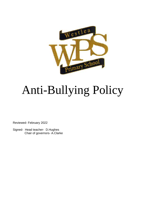

# Anti-Bullying Policy

Reviewed- February 2022

Signed- Head teacher- D.Hughes Chair of governors- A.Clarke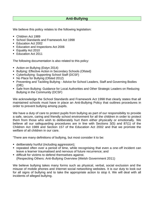# **Anti-Bullying**

We believe this policy relates to the following legislation:

- Children Act 1989
- School Standards and Framework Act 1998
- Education Act 2002
- Education and Inspections Act 2006
- **Equality Act 2010**
- Education Act 2011

The following documentation is also related to this policy:

- Action on Bullying (Estyn 2014)
- **E** Bullying: Effective Action in Secondary Schools (Ofsted)
- Cyberbullying: Supporting School Staff (DCSF)
- No Place for Bullying (Ofsted 2012)
- Preventing and Tackling Bullying Advice for School Leaders, Staff and Governing Bodies (DfE)
- Safe from Bullying: Guidance for Local Authorities and Other Strategic Leaders on Reducing Bullying in the Community (DCSF)

We acknowledge the School Standards and Framework Act 1998 that clearly states that all maintained schools must have in place an Anti-Bullying Policy that outlines procedures in order to prevent bullying among pupils.

We have a duty of care to protect pupils from bullying as part of our responsibility to provide a safe, secure, caring and friendly school environment for all the children in order to protect them from those who wish to deliberately hurt them either physically or emotionally. We believe all our safeguarding procedures are in line with Sections 3(5) and 87(1) of the Children Act 1989 and Section 157 of the Education Act 2002 and that we promote the welfare of all children in our care.

'There are many definitions of bullying, but most consider it to be:

- **E** deliberately hurtful (including aggression);
- repeated often over a period of time, while recognising that even a one-off incident can leave a learner traumatised and nervous of future recurrence; and
- difficult for victims to defend themselves against. (Respecting Others: Anti-Bullying Overview (Welsh Government 2011)

We believe bullying takes many forms such as physical, verbal, social exclusion and the misuse of mobile phones and Internet social networking websites. It is our duty to look out for all signs of bullying and to take the appropriate action to stop it. We will deal with all incidents of alleged bullying.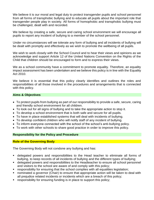We believe it is our moral and legal duty to protect transgender pupils and school personnel from all forms of transphobic bullying and to educate all pupils about the important role that transgender people play in society. All forms of homophobic and transphobic bullying must be challenged, dealt with and recorded.

We believe by creating a safe, secure and caring school environment we will encourage all pupils to report any incident of bullying to a member of the school personnel.

Under no circumstances will we tolerate any form of bullying and all incidents of bullying will be dealt with promptly and effectively as we wish to promote the wellbeing of all pupils.

We wish to work closely with the School Council and to hear their views and opinions as we acknowledge and support Article 12 of the United Nations Convention on the Rights of the Child that children should be encouraged to form and to express their views.

We as a school community have a commitment to promote equality. Therefore, an equality impact assessment has been undertaken and we believe this policy is in line with the Equality Act 2010.

We believe it is essential that this policy clearly identifies and outlines the roles and responsibilities of all those involved in the procedures and arrangements that is connected with this policy.

#### **Aims & Objectives**

- To protect pupils from bullying as part of our responsibility to provide a safe, secure, caring and friendly school environment for all children.
- To look out for all signs of bullying and to take the appropriate action to stop it.
- To develop a school environment that is both safe and secure for all pupils.
- To have in place established systems that will deal with incidents of bullying.
- To develop confident children who will notify staff of any incident of bullying.
- To inform everyone connected with the school of the school's anti-bullying policy.
- To work with other schools to share good practice in order to improve this policy.

#### **Responsibility for the Policy and Procedure**

#### **Role of the Governing Body**

The Governing Body will not condone any bullying and has:

- **Example 2** delegated powers and responsibilities to the Head teacher to eliminate all forms of bullying, to keep records of all incidents of bullying and the different types of bullying;
- delegated powers and responsibilities to the Headteacher to ensure all school personnel and visitors to the school are aware of and comply with this policy;
- responsibility for ensuring that the school complies with all equalities legislation;
- nominated a governor (Chair) to ensure that appropriate action will be taken to deal with all prejudice related incidents or incidents which are a breach of this policy;
- responsibility for ensuring funding is in place to support this policy;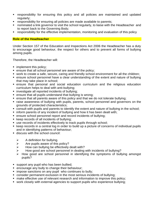- **EX FE** responsibility for ensuring this policy and all policies are maintained and updated regularly;
- **EXP** responsibility for ensuring all policies are made available to parents;
- nominated a link governor to visit the school regularly, to liaise with the Headteacher and to report back to the Governing Body;
- responsibility for the effective implementation, monitoring and evaluation of this policy

#### **Role of the Headteacher**

Under Section 157 of the Education and Inspections Act 2006 the Headteacher has a duty to encourage good behaviour, the respect for others and to prevent all forms of bullying among pupils.

Therefore, the Headteacher will:

- **•** implement this policy;
- ensure that all school personnel are aware of the policy;
- work to create a safe, secure, caring and friendly school environment for all the children;
- ensure school personnel have a clear understanding of the extent and nature of bullying that may take place in school;
- **E** ensure that personal and social education curriculum and the religious education curriculum helps to deal with anti-bullying;
- investigate all reported incidents of bullying;
- ensure that all pupils understand that bullying is wrong;
- ensure that all parents aware of this policy and that we do not tolerate bullying;
- raise awareness of bullying with pupils, parents, school personnel and governors on the grounds of protected characteristics;
- consult with pupils and parents to identify the extent and nature of bullying in the school;
- **.** inform parents of any incident of bullying and how it has been dealt with;
- ensure school personnel report and record incidents of bullying;
- keep records of all incidents of bullying;
- use records of incidents effectively to track pupils through school;
- keep records in a central log in order to build up a picture of concerns of individual pupils and in identifying patterns of behaviour;
- discuss with the school council:
	- $\triangleright$  A definition for bullying.
	- $\triangleright$  Are pupils aware of this policy?
	- $\triangleright$  How can bullying be effectively dealt with?
	- How good are school personnel in dealing with incidents of bullying?
	- ➢ How good are school personnel in identifying the symptoms of bullying amongst pupils?
- support any pupil who has been bullied;
- **E** encourage any bully to change their behaviour;
- **.** impose sanctions on any pupil who continues to bully;
- consider permanent exclusion in the most serious incidents of bullying;
- make effective use of relevant research and information to improve this policy;
- work closely with external agencies to support pupils who experience bullying;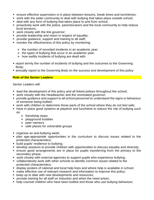- ensure effective supervision is in place between lessons, break times and lunchtimes;
- work with the wider community to deal with bullying that takes place outside school;
- **.** deal with any form of bullying that takes place to and from school;
- **•** proactively work with the police, parents/carers and the local community to help reduce local tensions;
- work closely with the link governor;
- **•** provide leadership and vision in respect of equality;
- **•** provide quidance, support and training to all staff:
- monitor the effectiveness of this policy by monitoring:
	- $\triangleright$  the number of recorded incidents in an academic year;
	- $\triangleright$  the types of bullying that occur in an academic year;
	- $\triangleright$  how swiftly incidents of bullying are dealt with
- report termly the number of incidents of bullying and the outcomes to the Governing Body;
- annually report to the Governing Body on the success and development of this policy

### **Role of the Senior Leaders**

Senior Leaders will:

- lead the development of this policy and all linked polices throughout the school;
- work closely with the Headteacher and the nominated governor;
- provide guidance and support to all school personnel to understand the signs or behaviour of someone being bullied;
- work with children to determine those parts of the school where they do not feel safe;
- have in place good systems at playtime and lunchtime to reduce the risk of bullying such as:
	- ➢ friendship stops
	- $\triangleright$  playground buddies
	- $\triangleright$  peer mentors
	- $\triangleright$  safe places for vulnerable groups
- organise an anti-bullying week;
- **•** plan age-appropriate opportunities in the curriculum to discuss issues related to the protected characteristics;
- build pupils' resilience to bullying;
- **develop sessions to provide children with opportunities to discuss equality and diversity;**
- ensure good arrangements are in place for pupils transferring from the primary to the secondary phase;
- work closely with external agencies to support pupils who experience bullying;
- collaboratively work with other schools to identify common issues related to the protected characteristics;
- display posters of national and local help lines and where help is available in school;
- make effective use of relevant research and information to improve this policy;
- keep up to date with new developments and resources;
- **•** provide training for all staff on induction and when the need arises;
- help counsel children who have been bullied and those who use bullying behaviour;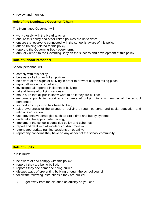**•** review and monitor;

#### **Role of the Nominated Governor (Chair)**

The Nominated Governor will:

- work closely with the Head teacher;
- ensure this policy and other linked policies are up to date;
- ensure that everyone connected with the school is aware of this policy;
- **E** attend training related to this policy;
- report to the Governing Body every term;
- **Examble 1** annually report to the Governing Body on the success and development of this policy

#### **Role of School Personnel**

School personnel will:

- comply with this policy;
- be aware of all other linked policies;
- be aware of the signs of bullying in order to prevent bullying taking place;
- report all incidents of bullying;
- investigate all reported incidents of bullying;
- **E** take all forms of bullying seriously;
- make sure that all pupils know what to do if they are bullied;
- **Exerche reported in any incidents of bullying to any member of the school** personnel;
- support any pupil who has been bullied;
- raise awareness of the wrongs of bullying through personal and social education and religious education;
- use preventative strategies such as circle time and buddy systems;
- undertake the appropriate training;
- **E** implement the school's equalities policy and schemes;
- report and deal with all incidents of discrimination;
- attend appropriate training sessions on equality;
- report any concerns they have on any aspect of the school community.

#### **Role of Pupils**

Pupils must:

- be aware of and comply with this policy;
- **•** report if they are being bullied;
- **•** report if they see someone being bullied;
- **E** discuss ways of preventing bullying through the school council;
- follow the following instructions if they are bullied:
	- $\triangleright$  get away from the situation as quickly as you can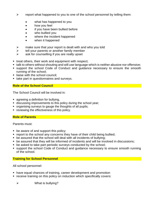- $\triangleright$  report what happened to you to one of the school personnel by telling them:
	- what has happened to you
	- how you feel
	- if you have been bullied before
	- who bullied you
	- where the incident happened
	- when it happened
- $\triangleright$  make sure that your report is dealt with and who you told
- $\triangleright$  tell your parents or another family member
- $\triangleright$  ask for counselling if you are really upset
- treat others, their work and equipment with respect;
- talk to others without shouting and will use language which is neither abusive nor offensive;
- support the school Code of Conduct and guidance necessary to ensure the smooth running of the school;
- **E** liaise with the school council:
- take part in questionnaires and surveys.

### **Role of the School Council**

The School Council will be involved in:

- agreeing a definition for bullying,
- **Example 3** discussing improvements to this policy during the school year;
- organising surveys to gauge the thoughts of all pupils;
- **EXECT** reviewing the effectiveness of this policy.

### **Role of Parents**

Parents must:

- be aware of and support this policy;
- report to the school any concerns they have of their child being bullied;
- be assured that the school will deal with all incidents of bullying;
- be assured that they will be informed of incidents and will be involved in discussions;
- be asked to take part periodic surveys conducted by the school;
- support the school Code of Conduct and guidance necessary to ensure smooth running of the school.

### **Training for School Personnel**

All school personnel:

- **.** have equal chances of training, career development and promotion
- receive training on this policy on induction which specifically covers:
	- $\triangleright$  What is bullying?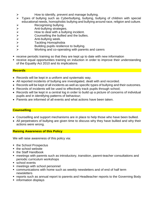- $\triangleright$  How to identify, prevent and manage bullying.
- ➢ Types of bullying such as Cyberbullying, bullying, bullying of children with special educational needs, homophobic bullying and bullying around race, religion and culture.
- $\triangleright$  Recognising bullying.
- ➢ Anti-bullying strategies.
- $\triangleright$  How to deal with a bullying incident.
- → Counselling the bullied and the bullies.<br>
→ Anti-bullying week.<br>
→ Tackling Homophobia
- ➢ Anti-bullying week.
- ➢ Tackling Homophobia
- $\triangleright$  Building pupils resilience to bullying.
- ➢ Working and co-operating with parents and carers
- receive periodic training so that they are kept up to date with new information
- receive equal opportunities training on induction in order to improve their understanding of the Equality Act 2010 and its implications

## **Records**

- Records will be kept in a uniform and systematic way.
- All reported incidents of bullying are investigated, dealt with and recorded.
- Records will be kept of all incidents as well as specific types of bullying and their outcomes.
- Records of incidents will be used to effectively track pupils through school;
- Records will be kept in a central log in order to build up a picture of concerns of individual pupils and in identifying patterns of behaviour;
- Parents are informed of all events and what actions have been taken.

# **Counselling**

- Counselling and support mechanisms are in place to help those who have been bullied.
- All perpetrators of bullying are given time to discuss why they have bullied and why their actions were wrong.

# **Raising Awareness of this Policy**

We will raise awareness of this policy via:

- the School Prospectus
- the school website
- the Staff Handbook
- meetings with parents such as introductory, transition, parent-teacher consultations and periodic curriculum workshops
- school events
- meetings with school personnel
- communications with home such as weekly newsletters and of end of half term newsletters
- reports such as annual report to parents and Headteacher reports to the Governing Body
- information displays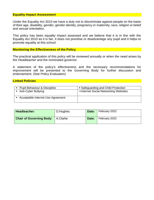#### **Equality Impact Assessment**

Under the Equality Act 2010 we have a duty not to discriminate against people on the basis of their age, disability, gender, gender identity, pregnancy or maternity, race, religion or belief and sexual orientation.

This policy has been equality impact assessed and we believe that it is in line with the Equality Act 2010 as it is fair, it does not prioritise or disadvantage any pupil and it helps to promote equality at this school.

#### **Monitoring the Effectiveness of the Policy**

The practical application of this policy will be reviewed annually or when the need arises by the Headteacher and the nominated governor.

A statement of the policy's effectiveness and the necessary recommendations for improvement will be presented to the Governing Body for further discussion and endorsement. (See Policy Evaluation)

#### **Linked Policies**

| <b>Pupil Behaviour &amp; Discipline</b> | • Safeguarding and Child Protection |
|-----------------------------------------|-------------------------------------|
| Anti-Cyber Bullying                     | Internet Social Networking Websites |
| Acceptable Internet Use Agreement       |                                     |

| Headteacher:                               | D.Hughes | Date: | February 2022 |  |  |  |  |
|--------------------------------------------|----------|-------|---------------|--|--|--|--|
| <b>Chair of Governing Body:</b>   A.Clarke |          | Date: | February 2022 |  |  |  |  |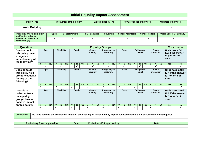# **Initial Equality Impact Assessment**

| <b>Policy Title</b>  | The aim(s) of this policy | Existing policy $(\checkmark)$ | New/Proposed Policy $(\checkmark)$ | Updated Policy (√ |
|----------------------|---------------------------|--------------------------------|------------------------------------|-------------------|
| <b>Anti-Bullying</b> |                           |                                |                                    |                   |

| This policy affects or is likely<br>to affect the following | <b>Pupils</b> | <b>School Personnel</b> | <b>Parents/carers</b> | <b>Governors</b> | <b>School Volunteers</b> | <b>School Visitors</b> | <b>Wider School Community</b> |  |  |
|-------------------------------------------------------------|---------------|-------------------------|-----------------------|------------------|--------------------------|------------------------|-------------------------------|--|--|
| members of the school                                       |               |                         |                       |                  |                          |                        |                               |  |  |
| community $(\checkmark)$                                    |               |                         |                       |                  |                          |                        |                               |  |  |

| <b>Question</b>                                                                       | <b>Equality Groups</b> |    |                   |                   |                   |                              |                                     |               |                                  |  |                                  |           |              | <b>Conclusion</b>                |           |                       |                              |           |                                              |                              |           |   |                                                                           |             |                                              |                          |
|---------------------------------------------------------------------------------------|------------------------|----|-------------------|-------------------|-------------------|------------------------------|-------------------------------------|---------------|----------------------------------|--|----------------------------------|-----------|--------------|----------------------------------|-----------|-----------------------|------------------------------|-----------|----------------------------------------------|------------------------------|-----------|---|---------------------------------------------------------------------------|-------------|----------------------------------------------|--------------------------|
| Does or could<br>this policy have<br>a negative<br>impact on any of<br>the following? | Age                    |    |                   | <b>Disability</b> |                   |                              | <b>Gender</b><br>Gender<br>identity |               |                                  |  | <b>Pregnancy or</b><br>maternity |           |              | Race                             |           |                       | <b>Religion or</b><br>belief |           |                                              | <b>Sexual</b><br>orientation |           |   | Undertake a full<br><b>EIA if the answer</b><br>is 'yes' or 'not<br>sure' |             |                                              |                          |
|                                                                                       |                        | N. | <b>NS</b>         |                   | N                 | <b>NS</b>                    |                                     | N.            | <b>NS</b>                        |  | N.                               | <b>NS</b> |              | N.                               | <b>NS</b> |                       | $\mathbf N$                  | <b>NS</b> |                                              | N                            | <b>NS</b> |   | N                                                                         | <b>NS</b>   | <b>Yes</b>                                   | <b>No</b>                |
|                                                                                       |                        | ✔  |                   |                   | $\checkmark$      |                              |                                     |               |                                  |  | ✓                                |           |              |                                  |           |                       | $\checkmark$                 |           |                                              | $\checkmark$                 |           |   |                                                                           |             |                                              | ✔                        |
| Does or could<br>this policy help<br>promote equality<br>for any of the<br>following? | Age                    |    | <b>Disability</b> |                   |                   | Gender<br>Gender<br>identity |                                     |               | <b>Pregnancy or</b><br>maternity |  |                                  | Race      |              | <b>Religion or</b><br>belief     |           | Sexual<br>orientation |                              |           | Undertake a full<br>is 'no' or 'not<br>sure' | EIA if the answer            |           |   |                                                                           |             |                                              |                          |
|                                                                                       |                        | N  | <b>NS</b>         |                   | N                 | <b>NS</b>                    |                                     | N.            | <b>NS</b>                        |  | N                                | <b>NS</b> | $\checkmark$ | N.                               | <b>NS</b> | Y                     | <b>N</b>                     | <b>NS</b> |                                              | N                            | <b>NS</b> |   | N.                                                                        | <b>NS</b>   | <b>Yes</b>                                   | <b>No</b>                |
|                                                                                       | √                      |    |                   | ✓                 |                   |                              | $\checkmark$                        |               |                                  |  |                                  |           | ✓            |                                  |           | $\checkmark$          |                              |           | ✓                                            |                              |           | ✓ |                                                                           |             |                                              | ✓                        |
| Does data<br>collected from<br>the equality<br>groups have a<br>positive impact       | Age                    |    |                   |                   | <b>Disability</b> |                              |                                     | <b>Gender</b> |                                  |  | Gender<br>identity               |           |              | <b>Pregnancy or</b><br>maternity |           |                       | Race                         |           |                                              | <b>Religion or</b><br>belief |           |   | <b>Sexual</b>                                                             | orientation | Undertake a full<br>is 'no' or 'not<br>sure' | <b>EIA if the answer</b> |
| on this policy?                                                                       |                        | N  | <b>NS</b>         |                   | N                 | <b>NS</b>                    |                                     | N             | <b>NS</b>                        |  | N.                               | <b>NS</b> |              | N                                | <b>NS</b> | Υ                     | N                            | <b>NS</b> |                                              | N                            | <b>NS</b> |   | N                                                                         | <b>NS</b>   | <b>Yes</b>                                   | <b>No</b>                |
|                                                                                       | ✓                      |    |                   | ✓                 |                   |                              | ✓                                   |               |                                  |  |                                  |           | ✔            |                                  |           | ✔                     |                              |           | ✔                                            |                              |           | ✓ |                                                                           |             |                                              | ✓                        |

**Conclusion** We have come to the conclusion that after undertaking an initial equality impact assessment that a full assessment is not required.

| --<br>completed by<br>.eliminar | Date | ⊿l≜<br>.eliminary<br>$\rightarrow$ by<br>Pro<br>annrover | <b>Date</b> |
|---------------------------------|------|----------------------------------------------------------|-------------|
|                                 |      |                                                          |             |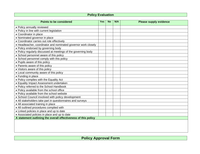# **Policy Evaluation**

| <b>Points to be considered</b>                                 | <b>Yes</b> | <b>No</b> | N/A | <b>Please supply evidence</b> |
|----------------------------------------------------------------|------------|-----------|-----|-------------------------------|
| • Policy annually reviewed                                     |            |           |     |                               |
| • Policy in line with current legislation                      |            |           |     |                               |
| • Coordinator in place                                         |            |           |     |                               |
| • Nominated governor in place                                  |            |           |     |                               |
| • Coordinator carries out role effectively                     |            |           |     |                               |
| • Headteacher, coordinator and nominated governor work closely |            |           |     |                               |
| • Policy endorsed by governing body                            |            |           |     |                               |
| • Policy regularly discussed at meetings of the governing body |            |           |     |                               |
| • School personnel aware of this policy                        |            |           |     |                               |
| • School personnel comply with this policy                     |            |           |     |                               |
| • Pupils aware of this policy                                  |            |           |     |                               |
| • Parents aware of this policy                                 |            |           |     |                               |
| • Visitors aware of this policy                                |            |           |     |                               |
| • Local community aware of this policy                         |            |           |     |                               |
| • Funding in place                                             |            |           |     |                               |
| • Policy complies with the Equality Act                        |            |           |     |                               |
| • Equality Impact Assessment undertaken                        |            |           |     |                               |
| • Policy referred to the School Handbook                       |            |           |     |                               |
| • Policy available from the school office                      |            |           |     |                               |
| • Policy available from the school website                     |            |           |     |                               |
| • School Council involved with policy development              |            |           |     |                               |
| • All stakeholders take part in questionnaires and surveys     |            |           |     |                               |
| • All associated training in place                             |            |           |     |                               |
| • All outlined procedures complied with                        |            |           |     |                               |
| • Linked policies in place and up to date                      |            |           |     |                               |
| • Associated policies in place and up to date                  |            |           |     |                               |
| A statement outlining the overall effectiveness of this policy |            |           |     |                               |
|                                                                |            |           |     |                               |

**Policy Approval Form**